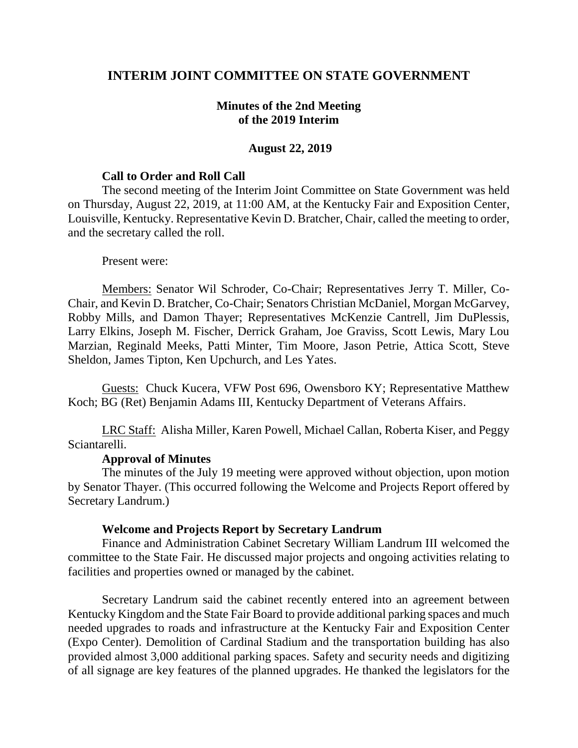# **INTERIM JOINT COMMITTEE ON STATE GOVERNMENT**

## **Minutes of the 2nd Meeting of the 2019 Interim**

### **August 22, 2019**

### **Call to Order and Roll Call**

The second meeting of the Interim Joint Committee on State Government was held on Thursday, August 22, 2019, at 11:00 AM, at the Kentucky Fair and Exposition Center, Louisville, Kentucky. Representative Kevin D. Bratcher, Chair, called the meeting to order, and the secretary called the roll.

#### Present were:

Members: Senator Wil Schroder, Co-Chair; Representatives Jerry T. Miller, Co-Chair, and Kevin D. Bratcher, Co-Chair; Senators Christian McDaniel, Morgan McGarvey, Robby Mills, and Damon Thayer; Representatives McKenzie Cantrell, Jim DuPlessis, Larry Elkins, Joseph M. Fischer, Derrick Graham, Joe Graviss, Scott Lewis, Mary Lou Marzian, Reginald Meeks, Patti Minter, Tim Moore, Jason Petrie, Attica Scott, Steve Sheldon, James Tipton, Ken Upchurch, and Les Yates.

Guests: Chuck Kucera, VFW Post 696, Owensboro KY; Representative Matthew Koch; BG (Ret) Benjamin Adams III, Kentucky Department of Veterans Affairs.

LRC Staff: Alisha Miller, Karen Powell, Michael Callan, Roberta Kiser, and Peggy Sciantarelli.

#### **Approval of Minutes**

The minutes of the July 19 meeting were approved without objection, upon motion by Senator Thayer. (This occurred following the Welcome and Projects Report offered by Secretary Landrum.)

## **Welcome and Projects Report by Secretary Landrum**

Finance and Administration Cabinet Secretary William Landrum III welcomed the committee to the State Fair. He discussed major projects and ongoing activities relating to facilities and properties owned or managed by the cabinet.

Secretary Landrum said the cabinet recently entered into an agreement between Kentucky Kingdom and the State Fair Board to provide additional parking spaces and much needed upgrades to roads and infrastructure at the Kentucky Fair and Exposition Center (Expo Center). Demolition of Cardinal Stadium and the transportation building has also provided almost 3,000 additional parking spaces. Safety and security needs and digitizing of all signage are key features of the planned upgrades. He thanked the legislators for the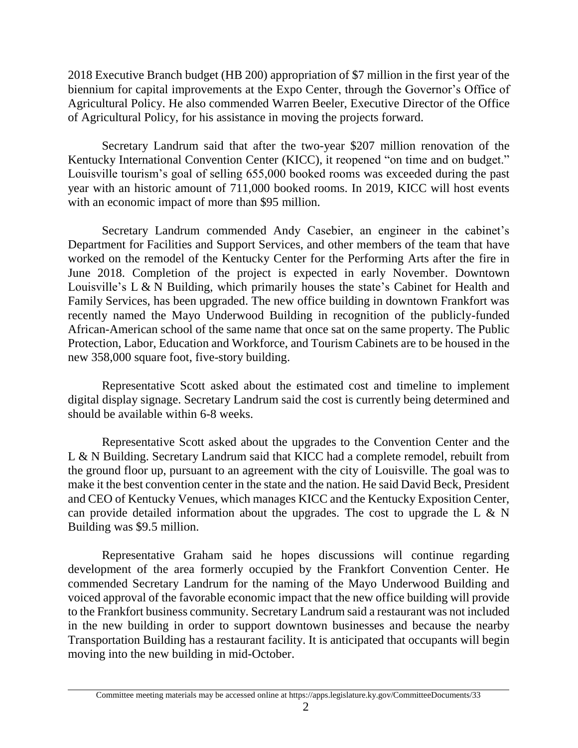2018 Executive Branch budget (HB 200) appropriation of \$7 million in the first year of the biennium for capital improvements at the Expo Center, through the Governor's Office of Agricultural Policy. He also commended Warren Beeler, Executive Director of the Office of Agricultural Policy, for his assistance in moving the projects forward.

Secretary Landrum said that after the two-year \$207 million renovation of the Kentucky International Convention Center (KICC), it reopened "on time and on budget." Louisville tourism's goal of selling 655,000 booked rooms was exceeded during the past year with an historic amount of 711,000 booked rooms. In 2019, KICC will host events with an economic impact of more than \$95 million.

Secretary Landrum commended Andy Casebier, an engineer in the cabinet's Department for Facilities and Support Services, and other members of the team that have worked on the remodel of the Kentucky Center for the Performing Arts after the fire in June 2018. Completion of the project is expected in early November. Downtown Louisville's L & N Building, which primarily houses the state's Cabinet for Health and Family Services, has been upgraded. The new office building in downtown Frankfort was recently named the Mayo Underwood Building in recognition of the publicly-funded African-American school of the same name that once sat on the same property. The Public Protection, Labor, Education and Workforce, and Tourism Cabinets are to be housed in the new 358,000 square foot, five-story building.

Representative Scott asked about the estimated cost and timeline to implement digital display signage. Secretary Landrum said the cost is currently being determined and should be available within 6-8 weeks.

Representative Scott asked about the upgrades to the Convention Center and the L & N Building. Secretary Landrum said that KICC had a complete remodel, rebuilt from the ground floor up, pursuant to an agreement with the city of Louisville. The goal was to make it the best convention center in the state and the nation. He said David Beck, President and CEO of Kentucky Venues, which manages KICC and the Kentucky Exposition Center, can provide detailed information about the upgrades. The cost to upgrade the L  $\&$  N Building was \$9.5 million.

Representative Graham said he hopes discussions will continue regarding development of the area formerly occupied by the Frankfort Convention Center. He commended Secretary Landrum for the naming of the Mayo Underwood Building and voiced approval of the favorable economic impact that the new office building will provide to the Frankfort business community. Secretary Landrum said a restaurant was not included in the new building in order to support downtown businesses and because the nearby Transportation Building has a restaurant facility. It is anticipated that occupants will begin moving into the new building in mid-October.

Committee meeting materials may be accessed online at https://apps.legislature.ky.gov/CommitteeDocuments/33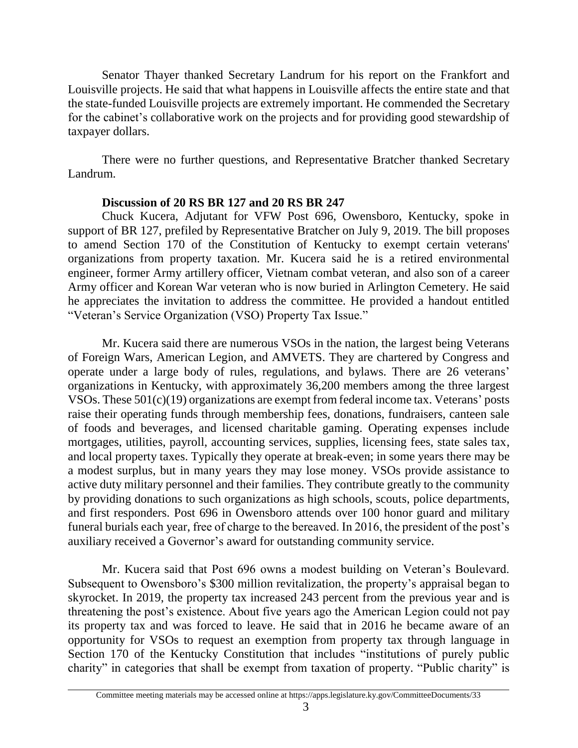Senator Thayer thanked Secretary Landrum for his report on the Frankfort and Louisville projects. He said that what happens in Louisville affects the entire state and that the state-funded Louisville projects are extremely important. He commended the Secretary for the cabinet's collaborative work on the projects and for providing good stewardship of taxpayer dollars.

There were no further questions, and Representative Bratcher thanked Secretary Landrum.

# **Discussion of 20 RS BR 127 and 20 RS BR 247**

Chuck Kucera, Adjutant for VFW Post 696, Owensboro, Kentucky, spoke in support of BR 127, prefiled by Representative Bratcher on July 9, 2019. The bill proposes to amend Section 170 of the Constitution of Kentucky to exempt certain veterans' organizations from property taxation. Mr. Kucera said he is a retired environmental engineer, former Army artillery officer, Vietnam combat veteran, and also son of a career Army officer and Korean War veteran who is now buried in Arlington Cemetery. He said he appreciates the invitation to address the committee. He provided a handout entitled "Veteran's Service Organization (VSO) Property Tax Issue."

Mr. Kucera said there are numerous VSOs in the nation, the largest being Veterans of Foreign Wars, American Legion, and AMVETS. They are chartered by Congress and operate under a large body of rules, regulations, and bylaws. There are 26 veterans' organizations in Kentucky, with approximately 36,200 members among the three largest VSOs. These 501(c)(19) organizations are exempt from federal income tax. Veterans' posts raise their operating funds through membership fees, donations, fundraisers, canteen sale of foods and beverages, and licensed charitable gaming. Operating expenses include mortgages, utilities, payroll, accounting services, supplies, licensing fees, state sales tax, and local property taxes. Typically they operate at break-even; in some years there may be a modest surplus, but in many years they may lose money. VSOs provide assistance to active duty military personnel and their families. They contribute greatly to the community by providing donations to such organizations as high schools, scouts, police departments, and first responders. Post 696 in Owensboro attends over 100 honor guard and military funeral burials each year, free of charge to the bereaved. In 2016, the president of the post's auxiliary received a Governor's award for outstanding community service.

Mr. Kucera said that Post 696 owns a modest building on Veteran's Boulevard. Subsequent to Owensboro's \$300 million revitalization, the property's appraisal began to skyrocket. In 2019, the property tax increased 243 percent from the previous year and is threatening the post's existence. About five years ago the American Legion could not pay its property tax and was forced to leave. He said that in 2016 he became aware of an opportunity for VSOs to request an exemption from property tax through language in Section 170 of the Kentucky Constitution that includes "institutions of purely public charity" in categories that shall be exempt from taxation of property. "Public charity" is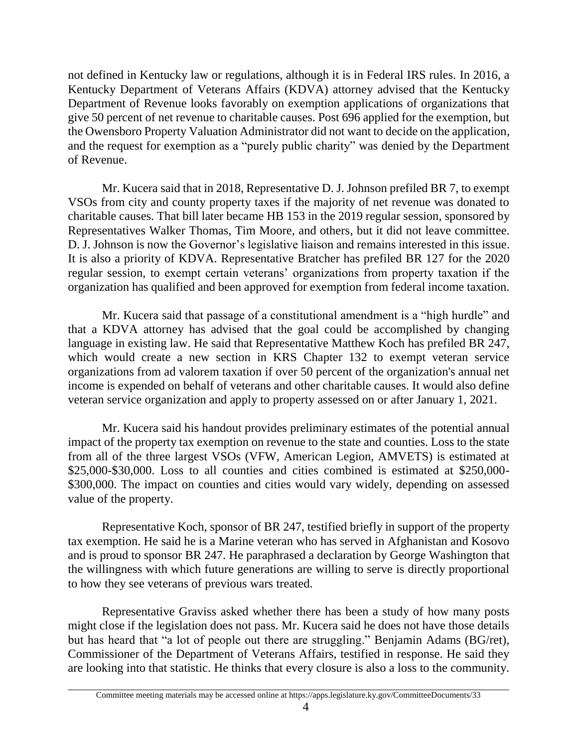not defined in Kentucky law or regulations, although it is in Federal IRS rules. In 2016, a Kentucky Department of Veterans Affairs (KDVA) attorney advised that the Kentucky Department of Revenue looks favorably on exemption applications of organizations that give 50 percent of net revenue to charitable causes. Post 696 applied for the exemption, but the Owensboro Property Valuation Administrator did not want to decide on the application, and the request for exemption as a "purely public charity" was denied by the Department of Revenue.

Mr. Kucera said that in 2018, Representative D. J. Johnson prefiled BR 7, to exempt VSOs from city and county property taxes if the majority of net revenue was donated to charitable causes. That bill later became HB 153 in the 2019 regular session, sponsored by Representatives Walker Thomas, Tim Moore, and others, but it did not leave committee. D. J. Johnson is now the Governor's legislative liaison and remains interested in this issue. It is also a priority of KDVA. Representative Bratcher has prefiled BR 127 for the 2020 regular session, to exempt certain veterans' organizations from property taxation if the organization has qualified and been approved for exemption from federal income taxation.

Mr. Kucera said that passage of a constitutional amendment is a "high hurdle" and that a KDVA attorney has advised that the goal could be accomplished by changing language in existing law. He said that Representative Matthew Koch has prefiled BR 247, which would create a new section in KRS Chapter 132 to exempt veteran service organizations from ad valorem taxation if over 50 percent of the organization's annual net income is expended on behalf of veterans and other charitable causes. It would also define veteran service organization and apply to property assessed on or after January 1, 2021.

Mr. Kucera said his handout provides preliminary estimates of the potential annual impact of the property tax exemption on revenue to the state and counties. Loss to the state from all of the three largest VSOs (VFW, American Legion, AMVETS) is estimated at \$25,000-\$30,000. Loss to all counties and cities combined is estimated at \$250,000- \$300,000. The impact on counties and cities would vary widely, depending on assessed value of the property.

Representative Koch, sponsor of BR 247, testified briefly in support of the property tax exemption. He said he is a Marine veteran who has served in Afghanistan and Kosovo and is proud to sponsor BR 247. He paraphrased a declaration by George Washington that the willingness with which future generations are willing to serve is directly proportional to how they see veterans of previous wars treated.

Representative Graviss asked whether there has been a study of how many posts might close if the legislation does not pass. Mr. Kucera said he does not have those details but has heard that "a lot of people out there are struggling." Benjamin Adams (BG/ret), Commissioner of the Department of Veterans Affairs, testified in response. He said they are looking into that statistic. He thinks that every closure is also a loss to the community.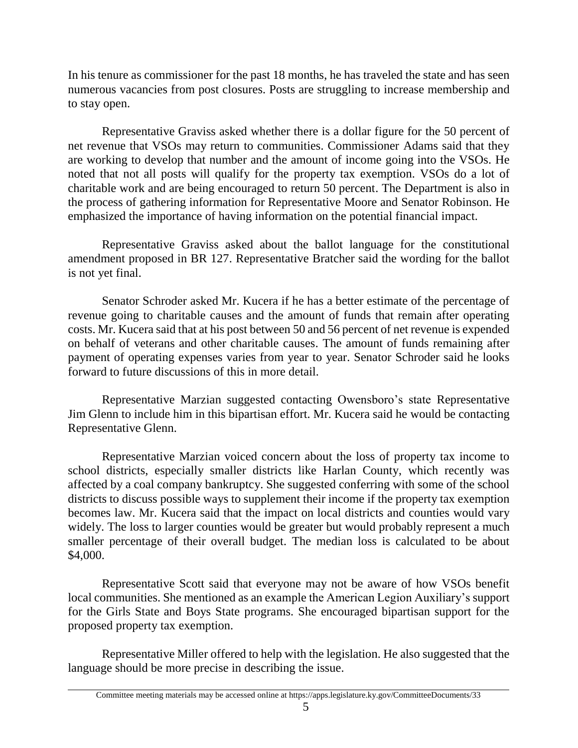In his tenure as commissioner for the past 18 months, he has traveled the state and has seen numerous vacancies from post closures. Posts are struggling to increase membership and to stay open.

Representative Graviss asked whether there is a dollar figure for the 50 percent of net revenue that VSOs may return to communities. Commissioner Adams said that they are working to develop that number and the amount of income going into the VSOs. He noted that not all posts will qualify for the property tax exemption. VSOs do a lot of charitable work and are being encouraged to return 50 percent. The Department is also in the process of gathering information for Representative Moore and Senator Robinson. He emphasized the importance of having information on the potential financial impact.

Representative Graviss asked about the ballot language for the constitutional amendment proposed in BR 127. Representative Bratcher said the wording for the ballot is not yet final.

Senator Schroder asked Mr. Kucera if he has a better estimate of the percentage of revenue going to charitable causes and the amount of funds that remain after operating costs. Mr. Kucera said that at his post between 50 and 56 percent of net revenue is expended on behalf of veterans and other charitable causes. The amount of funds remaining after payment of operating expenses varies from year to year. Senator Schroder said he looks forward to future discussions of this in more detail.

Representative Marzian suggested contacting Owensboro's state Representative Jim Glenn to include him in this bipartisan effort. Mr. Kucera said he would be contacting Representative Glenn.

Representative Marzian voiced concern about the loss of property tax income to school districts, especially smaller districts like Harlan County, which recently was affected by a coal company bankruptcy. She suggested conferring with some of the school districts to discuss possible ways to supplement their income if the property tax exemption becomes law. Mr. Kucera said that the impact on local districts and counties would vary widely. The loss to larger counties would be greater but would probably represent a much smaller percentage of their overall budget. The median loss is calculated to be about \$4,000.

Representative Scott said that everyone may not be aware of how VSOs benefit local communities. She mentioned as an example the American Legion Auxiliary's support for the Girls State and Boys State programs. She encouraged bipartisan support for the proposed property tax exemption.

Representative Miller offered to help with the legislation. He also suggested that the language should be more precise in describing the issue.